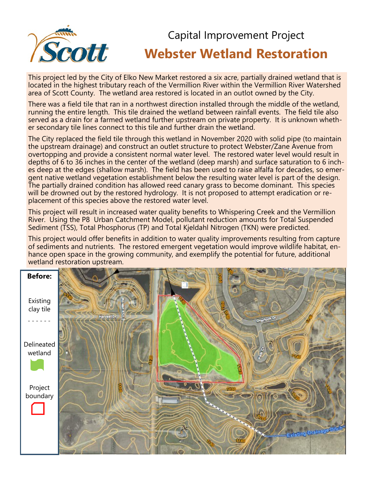

# Capital Improvement Project **Webster Wetland Restoration**

This project led by the City of Elko New Market restored a six acre, partially drained wetland that is located in the highest tributary reach of the Vermillion River within the Vermillion River Watershed area of Scott County. The wetland area restored is located in an outlot owned by the City.

There was a field tile that ran in a northwest direction installed through the middle of the wetland, running the entire length. This tile drained the wetland between rainfall events. The field tile also served as a drain for a farmed wetland further upstream on private property. It is unknown whether secondary tile lines connect to this tile and further drain the wetland.

The City replaced the field tile through this wetland in November 2020 with solid pipe (to maintain the upstream drainage) and construct an outlet structure to protect Webster/Zane Avenue from overtopping and provide a consistent normal water level. The restored water level would result in depths of 6 to 36 inches in the center of the wetland (deep marsh) and surface saturation to 6 inches deep at the edges (shallow marsh). The field has been used to raise alfalfa for decades, so emergent native wetland vegetation establishment below the resulting water level is part of the design. The partially drained condition has allowed reed canary grass to become dominant. This species will be drowned out by the restored hydrology. It is not proposed to attempt eradication or replacement of this species above the restored water level.

This project will result in increased water quality benefits to Whispering Creek and the Vermillion River. Using the P8 Urban Catchment Model, pollutant reduction amounts for Total Suspended Sediment (TSS), Total Phosphorus (TP) and Total Kjeldahl Nitrogen (TKN) were predicted.

This project would offer benefits in addition to water quality improvements resulting from capture of sediments and nutrients. The restored emergent vegetation would improve wildlife habitat, enhance open space in the growing community, and exemplify the potential for future, additional wetland restoration upstream.